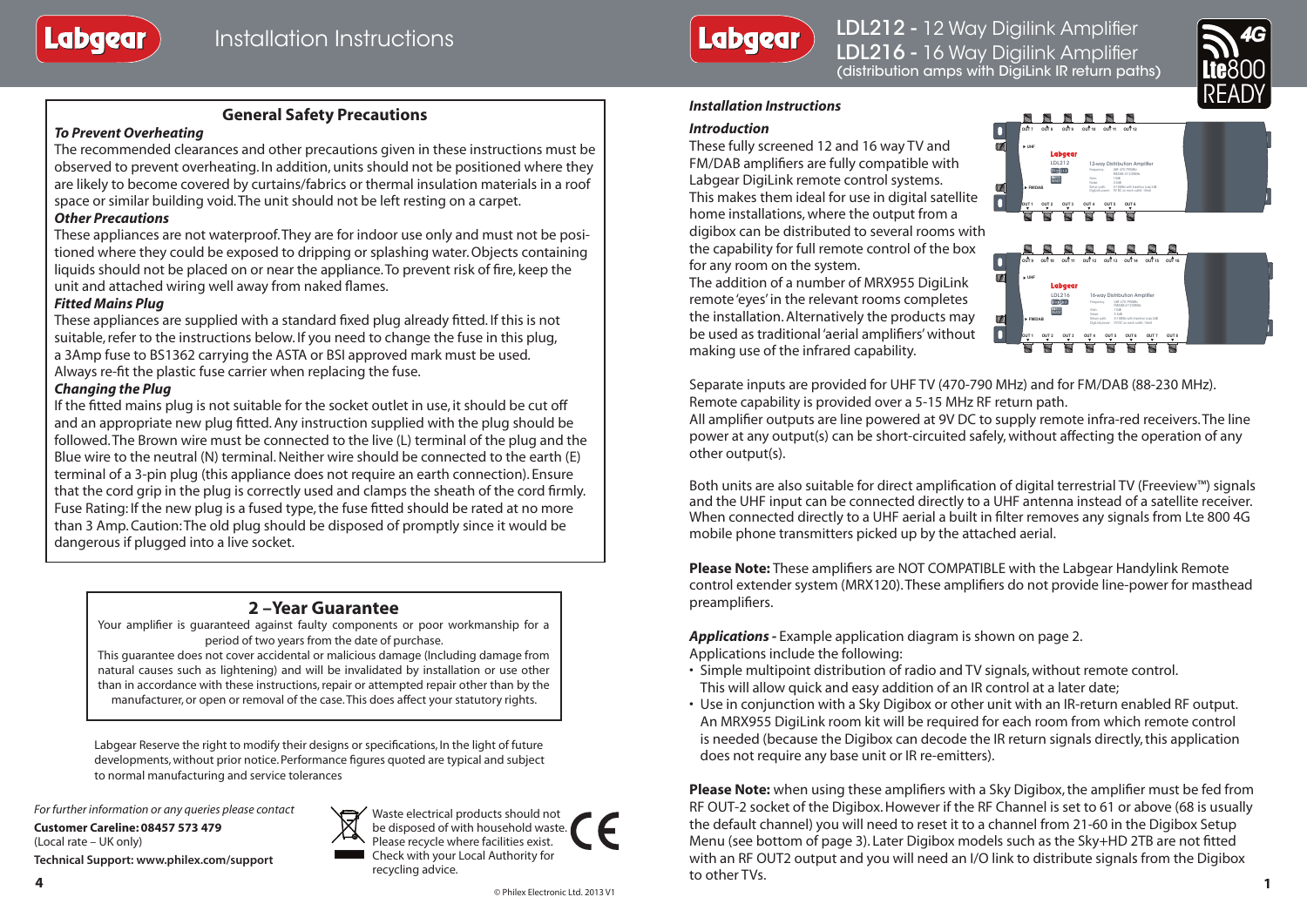

LDL212 - 12 Way Digilink Amplifier LDL216 - 16 Way Digilink Amplifier (distribution amps with DigiLink IR return paths)



# **General Safety Precautions**

### *To Prevent Overheating*

The recommended clearances and other precautions given in these instructions must be observed to prevent overheating. In addition, units should not be positioned where they are likely to become covered by curtains/fabrics or thermal insulation materials in a roof space or similar building void. The unit should not be left resting on a carpet.

### *Other Precautions*

These appliances are not waterproof. They are for indoor use only and must not be positioned where they could be exposed to dripping or splashing water. Objects containing liquids should not be placed on or near the appliance. To prevent risk of fire, keep the unit and attached wiring well away from naked flames.

### *Fitted Mains Plug*

These appliances are supplied with a standard fixed plug already fitted. If this is not suitable, refer to the instructions below. If you need to change the fuse in this plug, a 3Amp fuse to BS1362 carrying the ASTA or BSI approved mark must be used. Always re-fit the plastic fuse carrier when replacing the fuse.

### *Changing the Plug*

If the fitted mains plug is not suitable for the socket outlet in use, it should be cut off and an appropriate new plug fitted. Any instruction supplied with the plug should be followed. The Brown wire must be connected to the live (L) terminal of the plug and the Blue wire to the neutral (N) terminal. Neither wire should be connected to the earth (E) terminal of a 3-pin plug (this appliance does not require an earth connection). Ensure that the cord grip in the plug is correctly used and clamps the sheath of the cord firmly. Fuse Rating: If the new plug is a fused type, the fuse fitted should be rated at no more than 3 Amp. Caution: The old plug should be disposed of promptly since it would be dangerous if plugged into a live socket.

# **2 –Year Guarantee**

Your amplifier is guaranteed against faulty components or poor workmanship for a period of two years from the date of purchase.

This guarantee does not cover accidental or malicious damage (Including damage from natural causes such as lightening) and will be invalidated by installation or use other than in accordance with these instructions, repair or attempted repair other than by the manufacturer, or open or removal of the case. This does affect your statutory rights.

Labgear Reserve the right to modify their designs or specifications, In the light of future developments, without prior notice. Performance figures quoted are typical and subject to normal manufacturing and service tolerances

*For further information or any queries please contact*

**Customer Careline: 08457 573 479** (Local rate – UK only) **Technical Support: www.philex.com/support**



Waste electrical products should not be disposed of with household waste. Please recycle where facilities exist. Check with your Local Authority for recycling advice.

### *Installation Instructions*

#### *Introduction*

These fully screened 12 and 16 way TV and FM/DAB amplifiers are fully compatible with Labgear DigiLink remote control systems. This makes them ideal for use in digital satellite home installations, where the output from a digibox can be distributed to several rooms with the capability for full remote control of the box for any room on the system.

The addition of a number of MRX955 DigiLink remote 'eyes' in the relevant rooms completes the installation. Alternatively the products may be used as traditional 'aerial amplifiers' without making use of the infrared capability.



**888888** 



Separate inputs are provided for UHF TV (470-790 MHz) and for FM/DAB (88-230 MHz). Remote capability is provided over a 5-15 MHz RF return path.

All amplifier outputs are line powered at 9V DC to supply remote infra-red receivers. The line power at any output(s) can be short-circuited safely, without affecting the operation of any other output(s).

Both units are also suitable for direct amplification of digital terrestrial TV (Freeview™) signals and the UHF input can be connected directly to a UHF antenna instead of a satellite receiver. When connected directly to a UHF aerial a built in filter removes any signals from Lte 800 4G mobile phone transmitters picked up by the attached aerial.

**Please Note:** These amplifiers are NOT COMPATIBLE with the Labgear Handylink Remote control extender system (MRX120). These amplifiers do not provide line-power for masthead preamplifiers.

*Applications -* Example application diagram is shown on page 2. Applications include the following:

- Simple multipoint distribution of radio and TV signals, without remote control. This will allow quick and easy addition of an IR control at a later date;
- Use in conjunction with a Sky Digibox or other unit with an IR-return enabled RF output. An MRX955 DigiLink room kit will be required for each room from which remote control is needed (because the Digibox can decode the IR return signals directly, this application does not require any base unit or IR re-emitters).

**Please Note:** when using these amplifiers with a Sky Digibox, the amplifier must be fed from RF OUT-2 socket of the Digibox. However if the RF Channel is set to 61 or above (68 is usually the default channel) you will need to reset it to a channel from 21-60 in the Digibox Setup Menu (see bottom of page 3). Later Digibox models such as the Sky+HD 2TB are not fitted with an RF OUT2 output and you will need an I/O link to distribute signals from the Digibox to other TVs. **4 1**